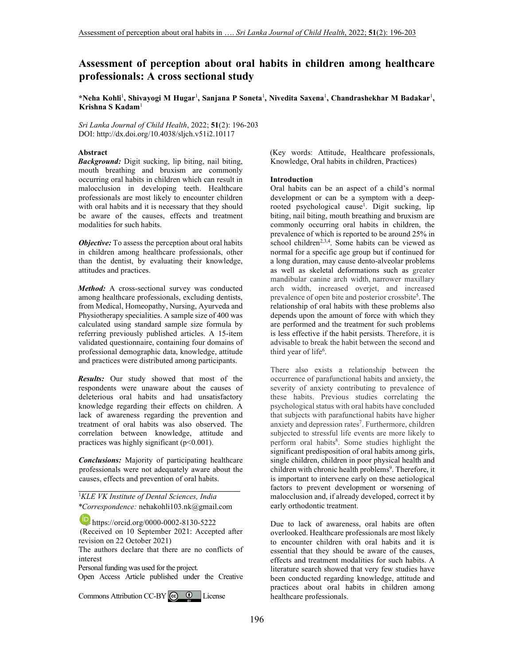# **Assessment of perception about oral habits in children among healthcare professionals: A cross sectional study**

**\*Neha Kohli**<sup>1</sup> **, Shivayogi M Hugar**<sup>1</sup> **, Sanjana P Soneta**<sup>1</sup> **, Nivedita Saxena**<sup>1</sup> **, Chandrashekhar M Badakar**<sup>1</sup> **, Krishna S Kadam**<sup>1</sup>

*Sri Lanka Journal of Child Health*, 2022; **51**(2): 196-203 DOI: http://dx.doi.org/10.4038/sljch.v51i2.10117

### **Abstract**

*Background:* Digit sucking, lip biting, nail biting, mouth breathing and bruxism are commonly occurring oral habits in children which can result in malocclusion in developing teeth. Healthcare professionals are most likely to encounter children with oral habits and it is necessary that they should be aware of the causes, effects and treatment modalities for such habits.

*Objective:* To assess the perception about oral habits in children among healthcare professionals, other than the dentist, by evaluating their knowledge, attitudes and practices.

*Method:* A cross-sectional survey was conducted among healthcare professionals, excluding dentists, from Medical, Homeopathy, Nursing, Ayurveda and Physiotherapy specialities. A sample size of 400 was calculated using standard sample size formula by referring previously published articles. A 15-item validated questionnaire, containing four domains of professional demographic data, knowledge, attitude and practices were distributed among participants.

*Results:* Our study showed that most of the respondents were unaware about the causes of deleterious oral habits and had unsatisfactory knowledge regarding their effects on children. A lack of awareness regarding the prevention and treatment of oral habits was also observed. The correlation between knowledge, attitude and practices was highly significant  $(p<0.001)$ .

*Conclusions:* Majority of participating healthcare professionals were not adequately aware about the causes, effects and prevention of oral habits.

**\_\_\_\_\_\_\_\_\_\_\_\_\_\_\_\_\_\_\_\_\_\_\_\_\_\_\_\_\_\_\_\_\_\_\_\_\_\_\_\_\_**  <sup>1</sup>*KLE VK Institute of Dental Sciences, India \*Correspondence:* nehakohli103.nk@gmail.com

**https://orcid.org/0000-0002-8130-5222**  (Received on 10 September 2021: Accepted after revision on 22 October 2021)

The authors declare that there are no conflicts of interest

Personal funding was used for the project.

Open Access Article published under the Creative

CommonsAttribution CC-BY  $\bigcirc$   $\bullet$  License

(Key words: Attitude, Healthcare professionals, Knowledge, Oral habits in children, Practices)

### **Introduction**

Oral habits can be an aspect of a child's normal development or can be a symptom with a deeprooted psychological cause<sup>1</sup>. Digit sucking, lip biting, nail biting, mouth breathing and bruxism are commonly occurring oral habits in children, the prevalence of which is reported to be around 25% in school children<sup>2,3,4</sup>. Some habits can be viewed as normal for a specific age group but if continued for a long duration, may cause dento-alveolar problems as well as skeletal deformations such as greater mandibular canine arch width, narrower maxillary arch width, increased overjet, and increased prevalence of open bite and posterior crossbite<sup>5</sup>. The relationship of oral habits with these problems also depends upon the amount of force with which they are performed and the treatment for such problems is less effective if the habit persists. Therefore, it is advisable to break the habit between the second and third year of life<sup>6</sup>.

There also exists a relationship between the occurrence of parafunctional habits and anxiety, the severity of anxiety contributing to prevalence of these habits. Previous studies correlating the psychological status with oral habits have concluded that subjects with parafunctional habits have higher anxiety and depression rates<sup>7</sup>. Furthermore, children subjected to stressful life events are more likely to perform oral habits<sup>8</sup>. Some studies highlight the significant predisposition of oral habits among girls, single children, children in poor physical health and children with chronic health problems<sup>9</sup>. Therefore, it is important to intervene early on these aetiological factors to prevent development or worsening of malocclusion and, if already developed, correct it by early orthodontic treatment.

Due to lack of awareness, oral habits are often overlooked. Healthcare professionals are most likely to encounter children with oral habits and it is essential that they should be aware of the causes, effects and treatment modalities for such habits. A literature search showed that very few studies have been conducted regarding knowledge, attitude and practices about oral habits in children among healthcare professionals.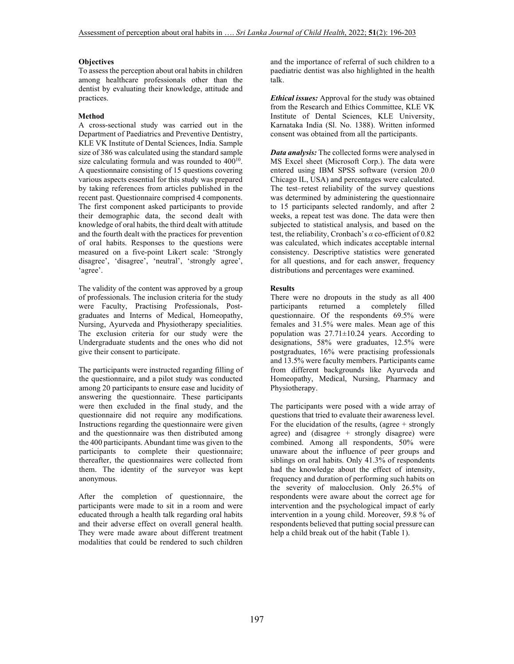#### **Objectives**

To assess the perception about oral habits in children among healthcare professionals other than the dentist by evaluating their knowledge, attitude and practices.

#### **Method**

A cross-sectional study was carried out in the Department of Paediatrics and Preventive Dentistry, KLE VK Institute of Dental Sciences, India. Sample size of 386 was calculated using the standard sample size calculating formula and was rounded to  $400^{10}$ . A questionnaire consisting of 15 questions covering various aspects essential for this study was prepared by taking references from articles published in the recent past. Questionnaire comprised 4 components. The first component asked participants to provide their demographic data, the second dealt with knowledge of oral habits, the third dealt with attitude and the fourth dealt with the practices for prevention of oral habits. Responses to the questions were measured on a five-point Likert scale: 'Strongly disagree', 'disagree', 'neutral', 'strongly agree', 'agree'.

The validity of the content was approved by a group of professionals. The inclusion criteria for the study were Faculty, Practising Professionals, Postgraduates and Interns of Medical, Homeopathy, Nursing, Ayurveda and Physiotherapy specialities. The exclusion criteria for our study were the Undergraduate students and the ones who did not give their consent to participate.

The participants were instructed regarding filling of the questionnaire, and a pilot study was conducted among 20 participants to ensure ease and lucidity of answering the questionnaire. These participants were then excluded in the final study, and the questionnaire did not require any modifications. Instructions regarding the questionnaire were given and the questionnaire was then distributed among the 400 participants. Abundant time was given to the participants to complete their questionnaire; thereafter, the questionnaires were collected from them. The identity of the surveyor was kept anonymous.

After the completion of questionnaire, the participants were made to sit in a room and were educated through a health talk regarding oral habits and their adverse effect on overall general health. They were made aware about different treatment modalities that could be rendered to such children and the importance of referral of such children to a paediatric dentist was also highlighted in the health talk.

*Ethical issues:* Approval for the study was obtained from the Research and Ethics Committee, KLE VK Institute of Dental Sciences, KLE University, Karnataka India (Sl. No. 1388). Written informed consent was obtained from all the participants.

*Data analysis:* The collected forms were analysed in MS Excel sheet (Microsoft Corp.). The data were entered using IBM SPSS software (version 20.0 Chicago IL, USA) and percentages were calculated. The test–retest reliability of the survey questions was determined by administering the questionnaire to 15 participants selected randomly, and after 2 weeks, a repeat test was done. The data were then subjected to statistical analysis, and based on the test, the reliability, Cronbach's *α* co-efficient of 0.82 was calculated, which indicates acceptable internal consistency. Descriptive statistics were generated for all questions, and for each answer, frequency distributions and percentages were examined.

### **Results**

There were no dropouts in the study as all 400 participants returned a completely filled questionnaire. Of the respondents 69.5% were females and 31.5% were males. Mean age of this population was  $27.71 \pm 10.24$  years. According to designations, 58% were graduates, 12.5% were postgraduates, 16% were practising professionals and 13.5% were faculty members. Participants came from different backgrounds like Ayurveda and Homeopathy, Medical, Nursing, Pharmacy and Physiotherapy.

The participants were posed with a wide array of questions that tried to evaluate their awareness level. For the elucidation of the results, (agree  $+$  strongly agree) and (disagree + strongly disagree) were combined. Among all respondents, 50% were unaware about the influence of peer groups and siblings on oral habits. Only 41.3% of respondents had the knowledge about the effect of intensity, frequency and duration of performing such habits on the severity of malocclusion. Only 26.5% of respondents were aware about the correct age for intervention and the psychological impact of early intervention in a young child. Moreover, 59.8 % of respondents believed that putting social pressure can help a child break out of the habit (Table 1).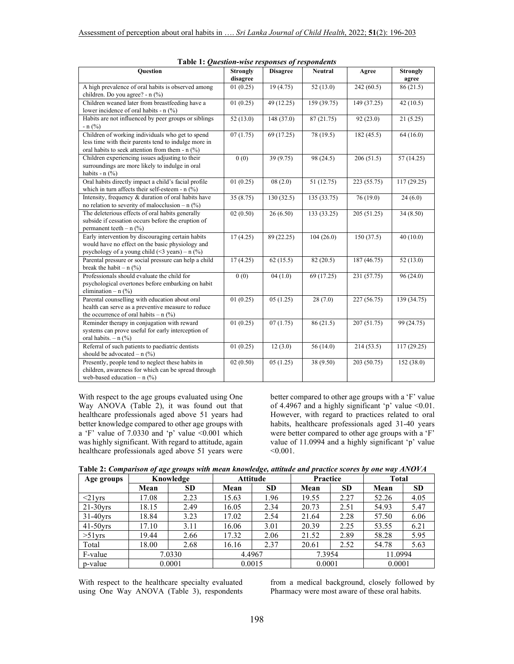| Question                                                                                                                                                              | <b>Strongly</b><br>disagree | <b>Disagree</b> | <b>Neutral</b> | Agree                    | <b>Strongly</b><br>agree |  |
|-----------------------------------------------------------------------------------------------------------------------------------------------------------------------|-----------------------------|-----------------|----------------|--------------------------|--------------------------|--|
| A high prevalence of oral habits is observed among<br>children. Do you agree? - n (%)                                                                                 | 01(0.25)                    | 19(4.75)        | 52(13.0)       | 242(60.5)                | 86(21.5)                 |  |
| Children weaned later from breastfeeding have a<br>lower incidence of oral habits - n (%)                                                                             | 01(0.25)                    | 49 (12.25)      | 159 (39.75)    | 149 (37.25)              | 42(10.5)                 |  |
| Habits are not influenced by peer groups or siblings<br>$- n$ (%)                                                                                                     | 52(13.0)                    | 148 (37.0)      | 87 (21.75)     | 92(23.0)                 | 21(5.25)                 |  |
| Children of working individuals who get to spend<br>less time with their parents tend to indulge more in<br>oral habits to seek attention from them - n (%)           | $\overline{07(1.75)}$       | 69 (17.25)      | 78 (19.5)      | 182(45.5)                | 64(16.0)                 |  |
| Children experiencing issues adjusting to their<br>surroundings are more likely to indulge in oral<br>habits - $n$ (%)                                                | 0(0)                        | 39 (9.75)       | 98 (24.5)      | 206(51.5)                | 57 (14.25)               |  |
| Oral habits directly impact a child's facial profile<br>which in turn affects their self-esteem - $n$ (%)                                                             | 01(0.25)                    | 08(2.0)         | 51 (12.75)     | 223 (55.75)              | 117(29.25)               |  |
| Intensity, frequency & duration of oral habits have<br>no relation to severity of malocclusion -- n $(%)$                                                             | 35 (8.75)                   | 130 (32.5)      | 135 (33.75)    | 76 (19.0)                | 24(6.0)                  |  |
| The deleterious effects of oral habits generally<br>subside if cessation occurs before the eruption of<br>permanent teeth - $n$ (%)                                   | 02(0.50)                    | 26(6.50)        | 133 (33.25)    | $\overline{205}$ (51.25) | 34 (8.50)                |  |
| Early intervention by discouraging certain habits<br>would have no effect on the basic physiology and<br>psychology of a young child $(\leq 3 \text{ years}) - n$ (%) | 17(4.25)                    | 89 (22.25)      | 104(26.0)      | 150(37.5)                | 40(10.0)                 |  |
| Parental pressure or social pressure can help a child<br>break the habit $- n$ (%)                                                                                    | 17(4.25)                    | 62(15.5)        | 82(20.5)       | 187 (46.75)              | 52(13.0)                 |  |
| Professionals should evaluate the child for<br>psychological overtones before embarking on habit<br>elimination $- n$ (%)                                             | 0(0)                        | 04(1.0)         | 69 (17.25)     | 231 (57.75)              | 96(24.0)                 |  |
| Parental counselling with education about oral<br>health can serve as a preventive measure to reduce<br>the occurrence of oral habits – $n$ (%)                       | 01(0.25)                    | 05(1.25)        | 28(7.0)        | 227 (56.75)              | 139 (34.75)              |  |
| Reminder therapy in conjugation with reward<br>systems can prove useful for early interception of<br>oral habits. $- n$ (%)                                           | 01(0.25)                    | 07(1.75)        | 86 (21.5)      | 207(51.75)               | 99 (24.75)               |  |
| Referral of such patients to paediatric dentists<br>should be advocated - $n$ (%)                                                                                     | 01(0.25)                    | 12(3.0)         | 56(14.0)       | 214(53.5)                | 117 (29.25)              |  |
| Presently, people tend to neglect these habits in<br>children, awareness for which can be spread through<br>web-based education $- n$ (%)                             | 02(0.50)                    | 05(1.25)        | 38 (9.50)      | 203 (50.75)              | 152 (38.0)               |  |

With respect to the age groups evaluated using One Way ANOVA (Table 2), it was found out that healthcare professionals aged above 51 years had better knowledge compared to other age groups with a 'F' value of  $7.0330$  and 'p' value  $\leq 0.001$  which was highly significant. With regard to attitude, again healthcare professionals aged above 51 years were better compared to other age groups with a 'F' value of 4.4967 and a highly significant 'p' value  $\leq 0.01$ . However, with regard to practices related to oral habits, healthcare professionals aged 31-40 years were better compared to other age groups with a 'F' value of 11.0994 and a highly significant 'p' value  $< 0.001$ .

**Table 2:** *Comparison of age groups with mean knowledge, attitude and practice scores by one way ANOVA* 

| Age groups    |       | Knowledge | <b>Attitude</b> |           | Practice |           | <b>Total</b> |           |
|---------------|-------|-----------|-----------------|-----------|----------|-----------|--------------|-----------|
|               | Mean  | <b>SD</b> | Mean            | <b>SD</b> | Mean     | <b>SD</b> | Mean         | <b>SD</b> |
| $\leq$ 21 yrs | 17.08 | 2.23      | 15.63           | 1.96      | 19.55    | 2.27      | 52.26        | 4.05      |
| $21-30$ vrs   | 18.15 | 2.49      | 16.05           | 2.34      | 20.73    | 2.51      | 54.93        | 5.47      |
| $31-40$ yrs   | 18.84 | 3.23      | 17.02           | 2.54      | 21.64    | 2.28      | 57.50        | 6.06      |
| $41-50$ yrs   | 17.10 | 3.11      | 16.06           | 3.01      | 20.39    | 2.25      | 53.55        | 6.21      |
| $>51$ yrs     | 19.44 | 2.66      | 17.32           | 2.06      | 21.52    | 2.89      | 58.28        | 5.95      |
| Total         | 18.00 | 2.68      | 16.16           | 2.37      | 20.61    | 2.52      | 54.78        | 5.63      |
| F-value       |       | 7.0330    | 4.4967          |           | 7.3954   |           | 11.0994      |           |
| p-value       |       | 0.0001    | 0.0015          |           | 0.0001   |           | 0.0001       |           |

With respect to the healthcare specialty evaluated using One Way ANOVA (Table 3), respondents

from a medical background, closely followed by Pharmacy were most aware of these oral habits.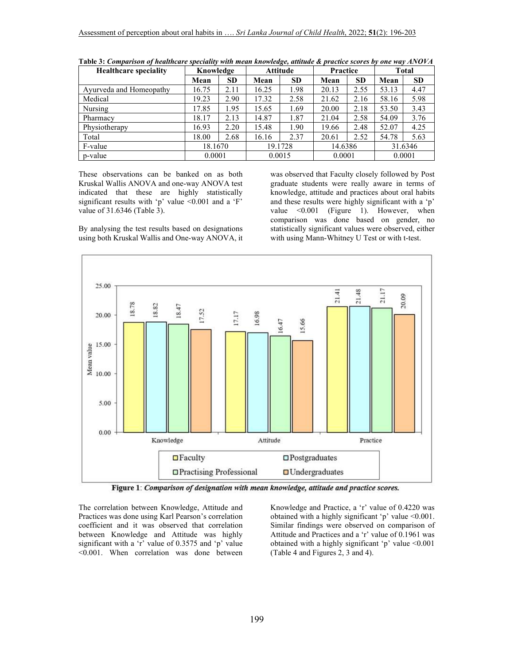| <b>Healthcare speciality</b> | Knowledge |           | <b>Attitude</b> |           | <b>Practice</b> |           | Total |           |
|------------------------------|-----------|-----------|-----------------|-----------|-----------------|-----------|-------|-----------|
|                              | Mean      | <b>SD</b> | Mean            | <b>SD</b> | Mean            | <b>SD</b> | Mean  | <b>SD</b> |
| Ayurveda and Homeopathy      | 16.75     | 2.11      | 16.25           | 1.98      | 20.13           | 2.55      | 53.13 | 4.47      |
| Medical                      | 19.23     | 2.90      | 17.32           | 2.58      | 21.62           | 2.16      | 58.16 | 5.98      |
| Nursing                      | 17.85     | 1.95      | 15.65           | 1.69      | 20.00           | 2.18      | 53.50 | 3.43      |
| Pharmacy                     | 18.17     | 2.13      | 14.87           | 1.87      | 21.04           | 2.58      | 54.09 | 3.76      |
| Physiotherapy                | 16.93     | 2.20      | 15.48           | 1.90      | 19.66           | 2.48      | 52.07 | 4.25      |
| Total                        | 18.00     | 2.68      | 16.16           | 2.37      | 20.61           | 2.52      | 54.78 | 5.63      |
| F-value                      | 18.1670   |           |                 | 19.1728   | 14.6386         |           |       | 31.6346   |
| p-value                      | 0.0001    |           | 0.0015          |           | 0.0001          |           |       | 0.0001    |

**Table 3:** *Comparison of healthcare speciality with mean knowledge, attitude & practice scores by one way ANOVA*

These observations can be banked on as both Kruskal Wallis ANOVA and one-way ANOVA test indicated that these are highly statistically significant results with 'p' value  $\leq 0.001$  and a 'F' value of 31.6346 (Table 3).

By analysing the test results based on designations using both Kruskal Wallis and One-way ANOVA, it

was observed that Faculty closely followed by Post graduate students were really aware in terms of knowledge, attitude and practices about oral habits and these results were highly significant with a 'p' value <0.001 (Figure 1). However, when comparison was done based on gender, no statistically significant values were observed, either with using Mann-Whitney U Test or with t-test.



Figure 1: Comparison of designation with mean knowledge, attitude and practice scores.

The correlation between Knowledge, Attitude and Practices was done using Karl Pearson's correlation coefficient and it was observed that correlation between Knowledge and Attitude was highly significant with a 'r' value of 0.3575 and 'p' value <0.001. When correlation was done between

Knowledge and Practice, a 'r' value of 0.4220 was obtained with a highly significant 'p' value <0.001. Similar findings were observed on comparison of Attitude and Practices and a 'r' value of 0.1961 was obtained with a highly significant 'p' value <0.001 (Table 4 and Figures 2, 3 and 4).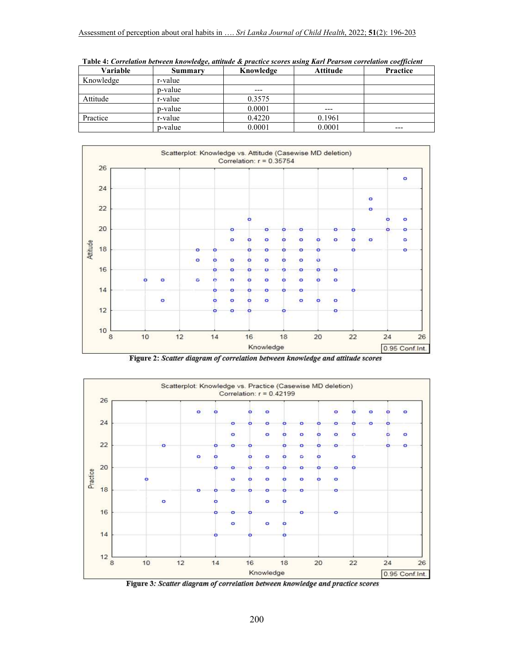# Assessment of perception about oral habits in …. *Sri Lanka Journal of Child Health*, 2022; **51**(2): 196-203

| Variable  | Summary | Knowledge | Attitude | Practice |
|-----------|---------|-----------|----------|----------|
| Knowledge | r-value |           |          |          |
|           | p-value | $- - -$   |          |          |
| Attitude  | r-value | 0.3575    |          |          |
|           | p-value | 0.0001    | ---      |          |
| Practice  | r-value | 0.4220    | 0.1961   |          |
|           | p-value | 0.0001    | 0.0001   | ---      |

 **Table 4:** *Correlation between knowledge, attitude & practice scores using Karl Pearson correlation coefficient*



Figure 2: Scatter diagram of correlation between knowledge and attitude scores



Figure 3: Scatter diagram of correlation between knowledge and practice scores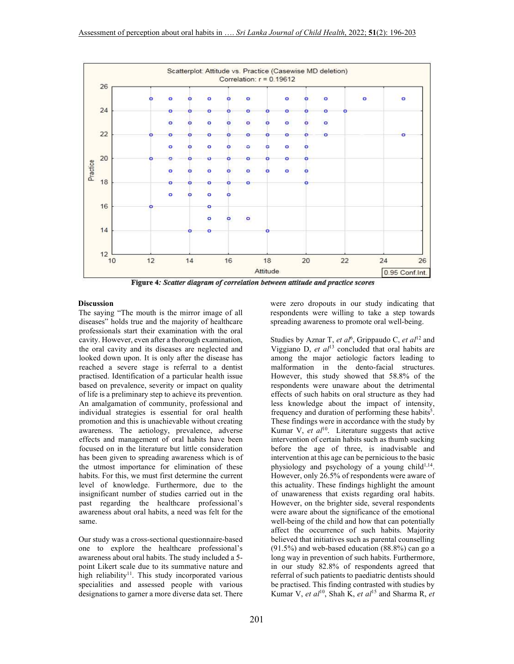

Figure 4: Scatter diagram of correlation between attitude and practice scores

#### **Discussion**

The saying "The mouth is the mirror image of all diseases" holds true and the majority of healthcare professionals start their examination with the oral cavity. However, even after a thorough examination, the oral cavity and its diseases are neglected and looked down upon. It is only after the disease has reached a severe stage is referral to a dentist practised. Identification of a particular health issue based on prevalence, severity or impact on quality of life is a preliminary step to achieve its prevention. An amalgamation of community, professional and individual strategies is essential for oral health promotion and this is unachievable without creating awareness. The aetiology, prevalence, adverse effects and management of oral habits have been focused on in the literature but little consideration has been given to spreading awareness which is of the utmost importance for elimination of these habits. For this, we must first determine the current level of knowledge. Furthermore, due to the insignificant number of studies carried out in the past regarding the healthcare professional's awareness about oral habits, a need was felt for the same.

Our study was a cross-sectional questionnaire-based one to explore the healthcare professional's awareness about oral habits. The study included a 5 point Likert scale due to its summative nature and high reliability<sup>11</sup>. This study incorporated various specialities and assessed people with various designations to garner a more diverse data set. There

were zero dropouts in our study indicating that respondents were willing to take a step towards spreading awareness to promote oral well-being.

Studies by Aznar T, et al<sup>6</sup>, Grippaudo C, et al<sup>12</sup> and Viggiano D, *et al*<sup>13</sup> concluded that oral habits are among the major aetiologic factors leading to malformation in the dento-facial structures. However, this study showed that 58.8% of the respondents were unaware about the detrimental effects of such habits on oral structure as they had less knowledge about the impact of intensity, frequency and duration of performing these habits<sup>5</sup>. These findings were in accordance with the study by Kumar V, *et al*<sup>10</sup>. Literature suggests that active intervention of certain habits such as thumb sucking before the age of three, is inadvisable and intervention at this age can be pernicious to the basic physiology and psychology of a young child<sup>1,14</sup>. However, only 26.5% of respondents were aware of this actuality. These findings highlight the amount of unawareness that exists regarding oral habits. However, on the brighter side, several respondents were aware about the significance of the emotional well-being of the child and how that can potentially affect the occurrence of such habits. Majority believed that initiatives such as parental counselling (91.5%) and web-based education (88.8%) can go a long way in prevention of such habits. Furthermore, in our study 82.8% of respondents agreed that referral of such patients to paediatric dentists should be practised. This finding contrasted with studies by Kumar V, *et al*10, Shah K, *et al*15 and Sharma R, *et*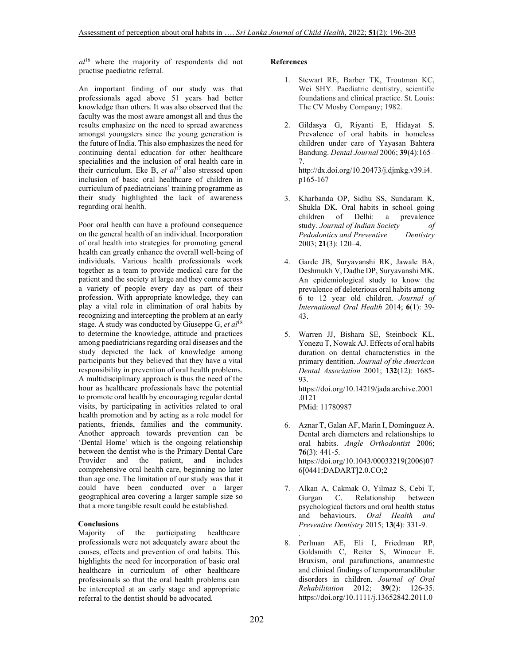*al*<sup>16</sup> where the majority of respondents did not practise paediatric referral.

An important finding of our study was that professionals aged above 51 years had better knowledge than others. It was also observed that the faculty was the most aware amongst all and thus the results emphasize on the need to spread awareness amongst youngsters since the young generation is the future of India. This also emphasizes the need for continuing dental education for other healthcare specialities and the inclusion of oral health care in their curriculum. Eke B, *et al*<sup>17</sup> also stressed upon inclusion of basic oral healthcare of children in curriculum of paediatricians' training programme as their study highlighted the lack of awareness regarding oral health.

Poor oral health can have a profound consequence on the general health of an individual. Incorporation of oral health into strategies for promoting general health can greatly enhance the overall well-being of individuals. Various health professionals work together as a team to provide medical care for the patient and the society at large and they come across a variety of people every day as part of their profession. With appropriate knowledge, they can play a vital role in elimination of oral habits by recognizing and intercepting the problem at an early stage. A study was conducted by Giuseppe G, *et al*<sup>18</sup> to determine the knowledge, attitude and practices among paediatricians regarding oral diseases and the study depicted the lack of knowledge among participants but they believed that they have a vital responsibility in prevention of oral health problems. A multidisciplinary approach is thus the need of the hour as healthcare professionals have the potential to promote oral health by encouraging regular dental visits, by participating in activities related to oral health promotion and by acting as a role model for patients, friends, families and the community. Another approach towards prevention can be 'Dental Home' which is the ongoing relationship between the dentist who is the Primary Dental Care Provider and the patient, and includes comprehensive oral health care, beginning no later than age one. The limitation of our study was that it could have been conducted over a larger geographical area covering a larger sample size so that a more tangible result could be established.

## **Conclusions**

Majority of the participating healthcare professionals were not adequately aware about the causes, effects and prevention of oral habits. This highlights the need for incorporation of basic oral healthcare in curriculum of other healthcare professionals so that the oral health problems can be intercepted at an early stage and appropriate referral to the dentist should be advocated.

#### **References**

- 1. Stewart RE, Barber TK, Troutman KC, Wei SHY. Paediatric dentistry, scientific foundations and clinical practice. St. Louis: The CV Mosby Company; 1982.
- 2. Gildasya G, Riyanti E, Hidayat S. Prevalence of oral habits in homeless children under care of Yayasan Bahtera Bandung. *Dental Journal* 2006; **39**(4):165– 7. http://dx.doi.org/10.20473/j.djmkg.v39.i4. p165-167
- 3. Kharbanda OP, Sidhu SS, Sundaram K, Shukla DK. Oral habits in school going children of Delhi: a prevalence study. *Journal of Indian Society of Pedodontics and Preventive Dentistry*  2003; **21**(3): 120–4.
- 4. Garde JB, Suryavanshi RK, Jawale BA, Deshmukh V, Dadhe DP, Suryavanshi MK. An epidemiological study to know the prevalence of deleterious oral habits among 6 to 12 year old children. *Journal of International Oral Health* 2014; **6**(1): 39- 43.
- 5. Warren JJ, Bishara SE, Steinbock KL, Yonezu T, Nowak AJ. Effects of oral habits duration on dental characteristics in the primary dentition. *Journal of the American Dental Association* 2001; **132**(12): 1685- 93. https://doi.org/10.14219/jada.archive.2001 .0121

PMid: 11780987

- 6. Aznar T, Galan AF, Marin I, Domínguez A. Dental arch diameters and relationships to oral habits. *Angle Orthodontist* 2006; **76**(3): 441-5. https://doi.org/10.1043/00033219(2006)07 6[0441:DADART]2.0.CO;2
- 7. Alkan A, Cakmak O, Yilmaz S, Cebi T, Gurgan C. Relationship between psychological factors and oral health status and behaviours. *Oral Health and Preventive Dentistry* 2015; **13**(4): 331-9.
- . 8. Perlman AE, Eli I, Friedman RP, Goldsmith C, Reiter S, Winocur E. Bruxism, oral parafunctions, anamnestic and clinical findings of temporomandibular disorders in children. *Journal of Oral Rehabilitation* 2012; **39**(2): 126-35. https://doi.org/10.1111/j.13652842.2011.0